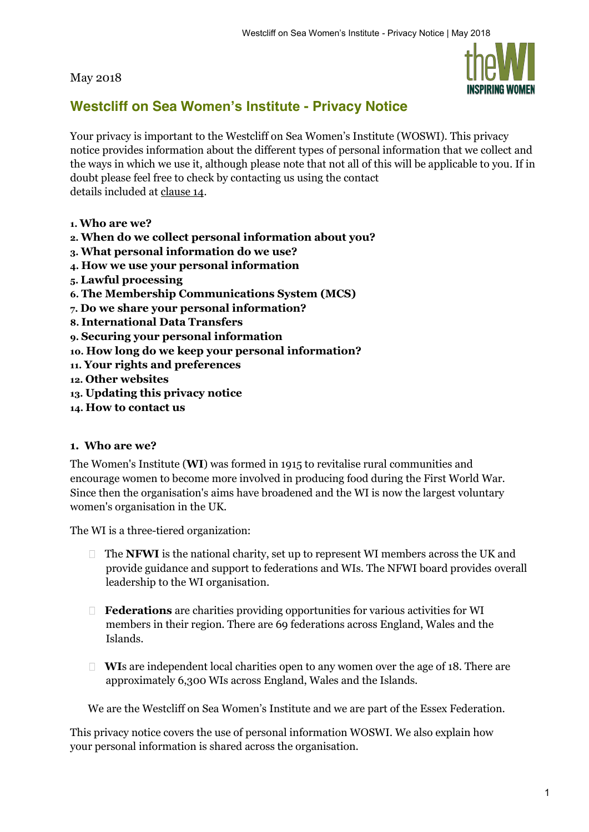#### May 2018



# **Westcliff on Sea Women's Institute - Privacy Notice**

Your privacy is important to the Westcliff on Sea Women's Institute (WOSWI). This privacy notice provides information about the different types of personal information that we collect and the ways in which we use it, although please note that not all of this will be applicable to you. If in doubt please feel free to check by contacting us using the contact details included at clause 14.

- **1. Who are we?**
- **2. When do we collect personal information about you?**
- **3. What personal information do we use?**
- **4. How we use your personal information**
- **5. Lawful processing**
- **6. The Membership Communications System (MCS)**
- **7. Do we share your personal information?**
- **8. International Data Transfers**
- **9. Securing your personal information**
- **10. How long do we keep your personal information?**
- **11. Your rights and preferences**
- **12. Other websites**
- **13. Updating this privacy notice**
- **14. How to contact us**

#### **1. Who are we?**

The Women's Institute (**WI**) was formed in 1915 to revitalise rural communities and encourage women to become more involved in producing food during the First World War. Since then the organisation's aims have broadened and the WI is now the largest voluntary women's organisation in the UK.

The WI is a three-tiered organization:

- □ The **NFWI** is the national charity, set up to represent WI members across the UK and provide guidance and support to federations and WIs. The NFWI board provides overall leadership to the WI organisation.
- **Federations** are charities providing opportunities for various activities for WI members in their region. There are 69 federations across England, Wales and the Islands.
- **WI**s are independent local charities open to any women over the age of 18. There are approximately 6,300 WIs across England, Wales and the Islands.

We are the Westcliff on Sea Women's Institute and we are part of the Essex Federation.

This privacy notice covers the use of personal information WOSWI. We also explain how your personal information is shared across the organisation.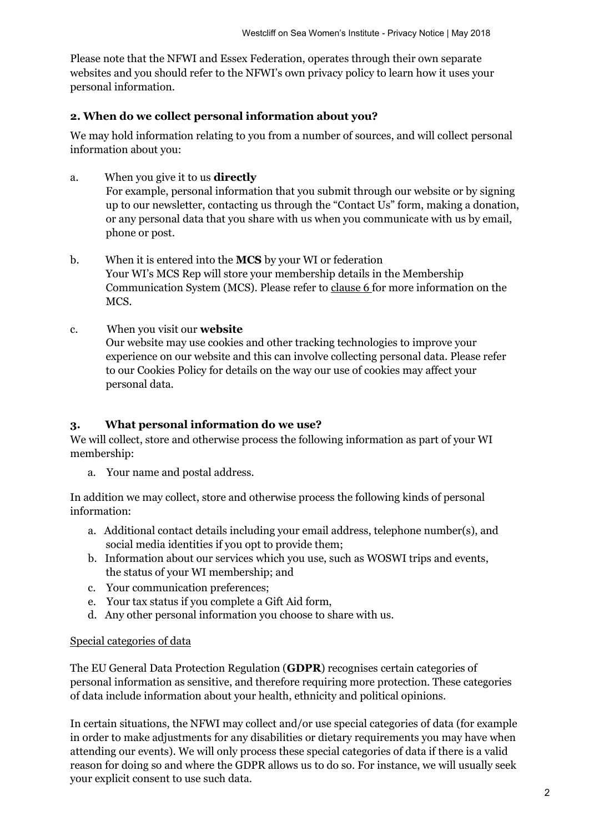Please note that the NFWI and Essex Federation, operates through their own separate websites and you should refer to the NFWI's own privacy policy to learn how it uses your personal information.

#### **2. When do we collect personal information about you?**

We may hold information relating to you from a number of sources, and will collect personal information about you:

a. When you give it to us **directly**

For example, personal information that you submit through our website or by signing up to our newsletter, contacting us through the "Contact Us" form, making a donation, or any personal data that you share with us when you communicate with us by email, phone or post.

- b. When it is entered into the **MCS** by your WI or federation Your WI's MCS Rep will store your membership details in the Membership Communication System (MCS). Please refer to clause 6 for more information on the MCS.
- c. When you visit our **website**

Our website may use cookies and other tracking technologies to improve your experience on our website and this can involve collecting personal data. Please refer to our Cookies Policy for details on the way our use of cookies may affect your personal data.

#### **3. What personal information do we use?**

We will collect, store and otherwise process the following information as part of your WI membership:

a. Your name and postal address.

In addition we may collect, store and otherwise process the following kinds of personal information:

- a. Additional contact details including your email address, telephone number(s), and social media identities if you opt to provide them;
- b. Information about our services which you use, such as WOSWI trips and events, the status of your WI membership; and
- c. Your communication preferences;
- e. Your tax status if you complete a Gift Aid form,
- d. Any other personal information you choose to share with us.

#### Special categories of data

The EU General Data Protection Regulation (**GDPR**) recognises certain categories of personal information as sensitive, and therefore requiring more protection. These categories of data include information about your health, ethnicity and political opinions.

In certain situations, the NFWI may collect and/or use special categories of data (for example in order to make adjustments for any disabilities or dietary requirements you may have when attending our events). We will only process these special categories of data if there is a valid reason for doing so and where the GDPR allows us to do so. For instance, we will usually seek your explicit consent to use such data.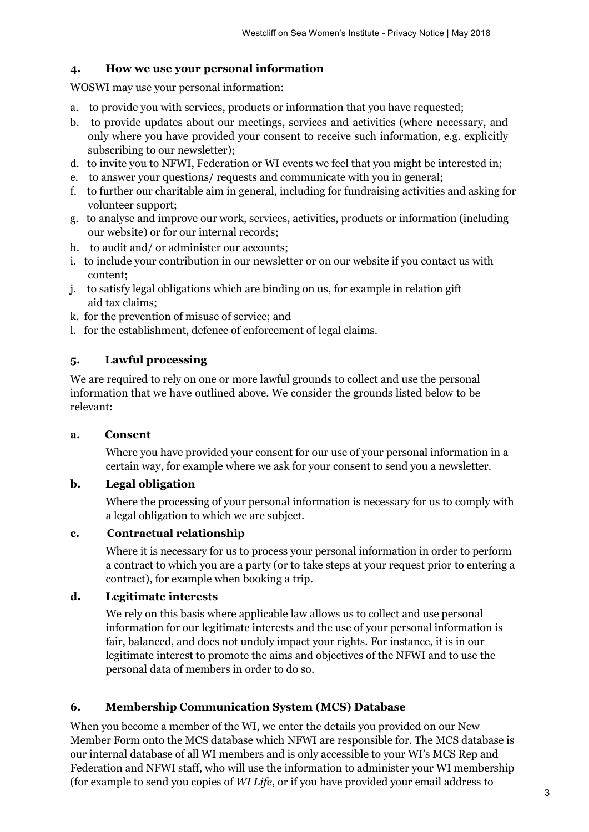## **4. How we use your personal information**

WOSWI may use your personal information:

- a. to provide you with services, products or information that you have requested;
- b. to provide updates about our meetings, services and activities (where necessary, and only where you have provided your consent to receive such information, e.g. explicitly subscribing to our newsletter);
- d. to invite you to NFWI, Federation or WI events we feel that you might be interested in;
- e. to answer your questions/ requests and communicate with you in general;
- f. to further our charitable aim in general, including for fundraising activities and asking for volunteer support;
- g. to analyse and improve our work, services, activities, products or information (including our website) or for our internal records;
- h. to audit and/ or administer our accounts;
- i. to include your contribution in our newsletter or on our website if you contact us with content;
- j. to satisfy legal obligations which are binding on us, for example in relation gift aid tax claims;
- k. for the prevention of misuse of service; and
- l. for the establishment, defence of enforcement of legal claims.

## **5. Lawful processing**

We are required to rely on one or more lawful grounds to collect and use the personal information that we have outlined above. We consider the grounds listed below to be relevant:

## **a. Consent**

Where you have provided your consent for our use of your personal information in a certain way, for example where we ask for your consent to send you a newsletter.

## **b. Legal obligation**

Where the processing of your personal information is necessary for us to comply with a legal obligation to which we are subject.

#### **c. Contractual relationship**

Where it is necessary for us to process your personal information in order to perform a contract to which you are a party (or to take steps at your request prior to entering a contract), for example when booking a trip.

## **d. Legitimate interests**

We rely on this basis where applicable law allows us to collect and use personal information for our legitimate interests and the use of your personal information is fair, balanced, and does not unduly impact your rights. For instance, it is in our legitimate interest to promote the aims and objectives of the NFWI and to use the personal data of members in order to do so.

## **6. Membership Communication System (MCS) Database**

When you become a member of the WI, we enter the details you provided on our New Member Form onto the MCS database which NFWI are responsible for. The MCS database is our internal database of all WI members and is only accessible to your WI's MCS Rep and Federation and NFWI staff, who will use the information to administer your WI membership (for example to send you copies of *WI Life*, or if you have provided your email address to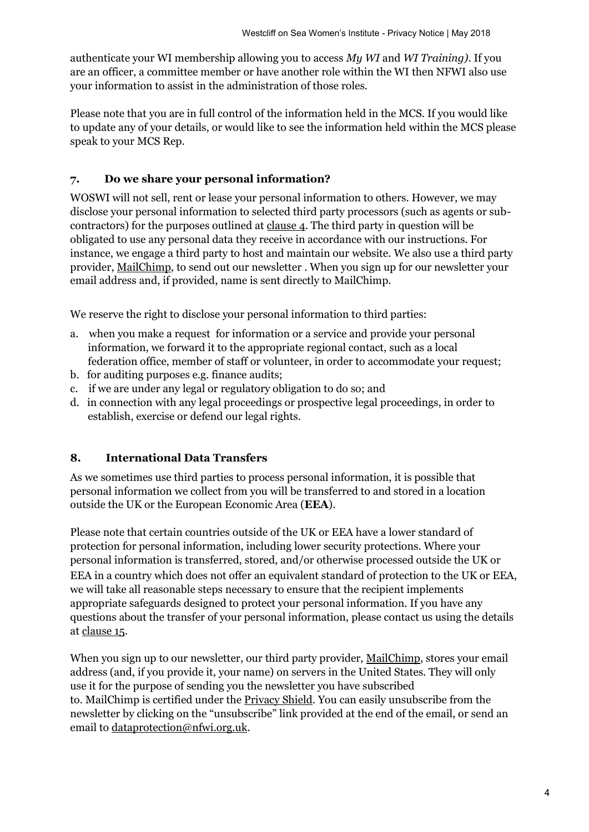authenticate your WI membership allowing you to access *My WI* and *WI Training)*. If you are an officer, a committee member or have another role within the WI then NFWI also use your information to assist in the administration of those roles.

Please note that you are in full control of the information held in the MCS. If you would like to update any of your details, or would like to see the information held within the MCS please speak to your MCS Rep.

#### **7. Do we share your personal information?**

WOSWI will not sell, rent or lease your personal information to others. However, we may disclose your personal information to selected third party processors (such as agents or subcontractors) for the purposes outlined at clause 4. The third party in question will be obligated to use any personal data they receive in accordance with our instructions. For instance, we engage a third party to host and maintain our website. We also use a third party provider, MailChimp, to send out our newsletter . When you sign up for our newsletter your email address and, if provided, name is sent directly to MailChimp.

We reserve the right to disclose your personal information to third parties:

- a. when you make a request for information or a service and provide your personal information, we forward it to the appropriate regional contact, such as a local federation office, member of staff or volunteer, in order to accommodate your request;
- b. for auditing purposes e.g. finance audits;
- c. if we are under any legal or regulatory obligation to do so; and
- d. in connection with any legal proceedings or prospective legal proceedings, in order to establish, exercise or defend our legal rights.

#### **8. International Data Transfers**

As we sometimes use third parties to process personal information, it is possible that personal information we collect from you will be transferred to and stored in a location outside the UK or the European Economic Area (**EEA**).

Please note that certain countries outside of the UK or EEA have a lower standard of protection for personal information, including lower security protections. Where your personal information is transferred, stored, and/or otherwise processed outside the UK or EEA in a country which does not offer an equivalent standard of protection to the UK or EEA, we will take all reasonable steps necessary to ensure that the recipient implements appropriate safeguards designed to protect your personal information. If you have any questions about the transfer of your personal information, please contact us using the details at clause 15.

When you sign up to our newsletter, our third party provider, MailChimp, stores your email address (and, if you provide it, your name) on servers in the United States. They will only use it for the purpose of sending you the newsletter you have subscribed to. MailChimp is certified under the Privacy Shield. You can easily unsubscribe from the newsletter by clicking on the "unsubscribe" link provided at the end of the email, or send an email to dataprotection@nfwi.org.uk.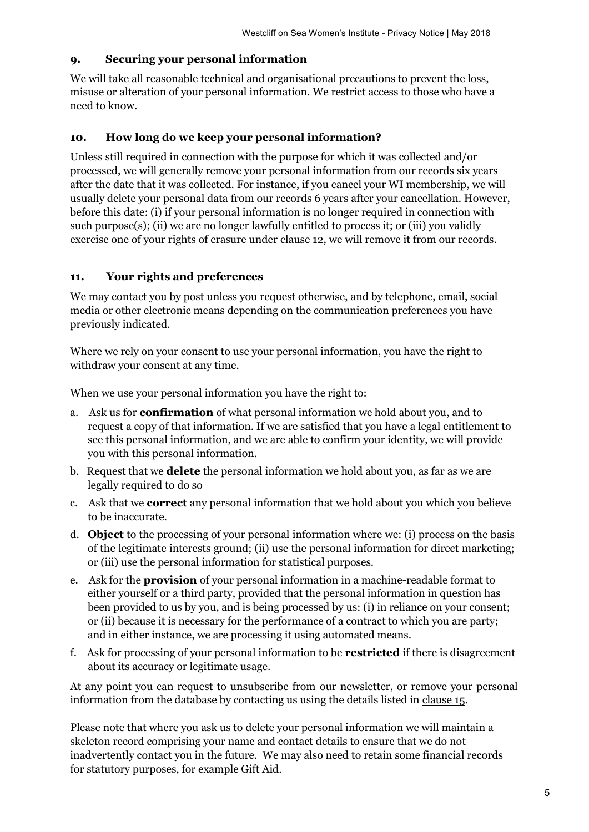#### **9. Securing your personal information**

We will take all reasonable technical and organisational precautions to prevent the loss, misuse or alteration of your personal information. We restrict access to those who have a need to know.

#### **10. How long do we keep your personal information?**

Unless still required in connection with the purpose for which it was collected and/or processed, we will generally remove your personal information from our records six years after the date that it was collected. For instance, if you cancel your WI membership, we will usually delete your personal data from our records 6 years after your cancellation. However, before this date: (i) if your personal information is no longer required in connection with such purpose(s); (ii) we are no longer lawfully entitled to process it; or (iii) you validly exercise one of your rights of erasure under clause 12, we will remove it from our records.

#### **11. Your rights and preferences**

We may contact you by post unless you request otherwise, and by telephone, email, social media or other electronic means depending on the communication preferences you have previously indicated.

Where we rely on your consent to use your personal information, you have the right to withdraw your consent at any time.

When we use your personal information you have the right to:

- a. Ask us for **confirmation** of what personal information we hold about you, and to request a copy of that information. If we are satisfied that you have a legal entitlement to see this personal information, and we are able to confirm your identity, we will provide you with this personal information.
- b. Request that we **delete** the personal information we hold about you, as far as we are legally required to do so
- c. Ask that we **correct** any personal information that we hold about you which you believe to be inaccurate.
- d. **Object** to the processing of your personal information where we: (i) process on the basis of the legitimate interests ground; (ii) use the personal information for direct marketing; or (iii) use the personal information for statistical purposes.
- e. Ask for the **provision** of your personal information in a machine-readable format to either yourself or a third party, provided that the personal information in question has been provided to us by you, and is being processed by us: (i) in reliance on your consent; or (ii) because it is necessary for the performance of a contract to which you are party; and in either instance, we are processing it using automated means.
- f. Ask for processing of your personal information to be **restricted** if there is disagreement about its accuracy or legitimate usage.

At any point you can request to unsubscribe from our newsletter, or remove your personal information from the database by contacting us using the details listed in clause 15.

Please note that where you ask us to delete your personal information we will maintain a skeleton record comprising your name and contact details to ensure that we do not inadvertently contact you in the future. We may also need to retain some financial records for statutory purposes, for example Gift Aid.